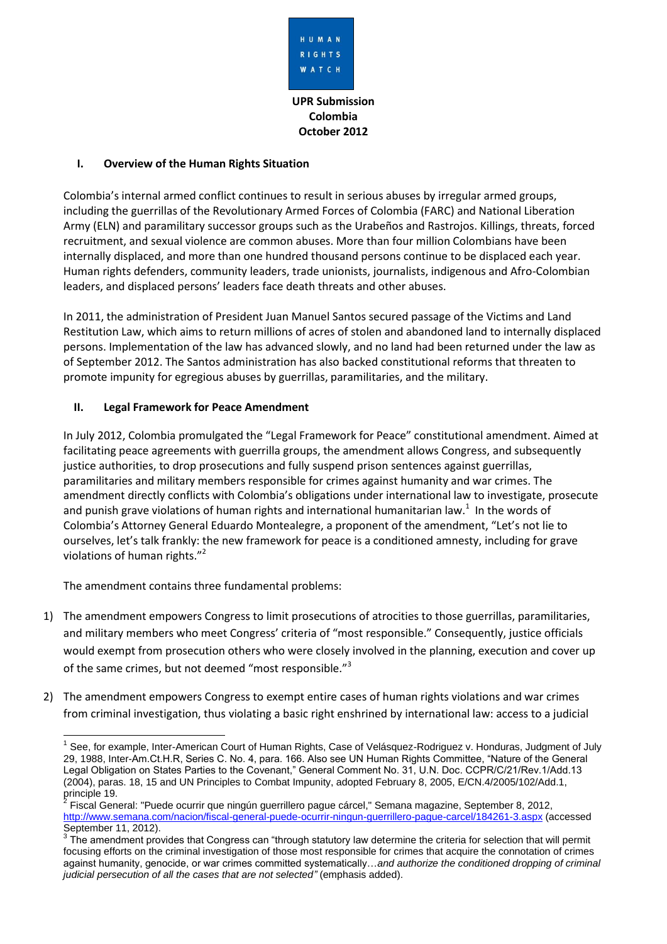

**UPR Submission Colombia October 2012**

### **I. Overview of the Human Rights Situation**

Colombia's internal armed conflict continues to result in serious abuses by irregular armed groups, including the guerrillas of the Revolutionary Armed Forces of Colombia (FARC) and National Liberation Army (ELN) and paramilitary successor groups such as the Urabeños and Rastrojos. Killings, threats, forced recruitment, and sexual violence are common abuses. More than four million Colombians have been internally displaced, and more than one hundred thousand persons continue to be displaced each year. Human rights defenders, community leaders, trade unionists, journalists, indigenous and Afro-Colombian leaders, and displaced persons' leaders face death threats and other abuses.

In 2011, the administration of President Juan Manuel Santos secured passage of the Victims and Land Restitution Law, which aims to return millions of acres of stolen and abandoned land to internally displaced persons. Implementation of the law has advanced slowly, and no land had been returned under the law as of September 2012. The Santos administration has also backed constitutional reforms that threaten to promote impunity for egregious abuses by guerrillas, paramilitaries, and the military.

# **II. Legal Framework for Peace Amendment**

In July 2012, Colombia promulgated the "Legal Framework for Peace" constitutional amendment. Aimed at facilitating peace agreements with guerrilla groups, the amendment allows Congress, and subsequently justice authorities, to drop prosecutions and fully suspend prison sentences against guerrillas, paramilitaries and military members responsible for crimes against humanity and war crimes. The amendment directly conflicts with Colombia's obligations under international law to investigate, prosecute and punish grave violations of human rights and international humanitarian law.<sup>1</sup> In the words of Colombia's Attorney General Eduardo Montealegre, a proponent of the amendment, "Let's not lie to ourselves, let's talk frankly: the new framework for peace is a conditioned amnesty, including for grave violations of human rights."<sup>2</sup>

The amendment contains three fundamental problems:

- 1) The amendment empowers Congress to limit prosecutions of atrocities to those guerrillas, paramilitaries, and military members who meet Congress' criteria of "most responsible." Consequently, justice officials would exempt from prosecution others who were closely involved in the planning, execution and cover up of the same crimes, but not deemed "most responsible."<sup>3</sup>
- 2) The amendment empowers Congress to exempt entire cases of human rights violations and war crimes from criminal investigation, thus violating a basic right enshrined by international law: access to a judicial

<sup>-</sup><sup>1</sup> See, for example, Inter-American Court of Human Rights, Case of Velásquez-Rodriguez v. Honduras, Judgment of July 29, 1988, Inter-Am.Ct.H.R, Series C. No. 4, para. 166. Also see UN Human Rights Committee, "Nature of the General Legal Obligation on States Parties to the Covenant," General Comment No. 31, U.N. Doc. CCPR/C/21/Rev.1/Add.13 (2004), paras. 18, 15 and UN Principles to Combat Impunity, adopted February 8, 2005, E/CN.4/2005/102/Add.1, principle 19.<br><sup>2</sup> Eigeal Can

Fiscal General: "Puede ocurrir que ningún guerrillero pague cárcel," Semana magazine, September 8, 2012, <http://www.semana.com/nacion/fiscal-general-puede-ocurrir-ningun-guerrillero-pague-carcel/184261-3.aspx> (accessed September 11, 2012).

 $3$  The amendment provides that Congress can "through statutory law determine the criteria for selection that will permit focusing efforts on the criminal investigation of those most responsible for crimes that acquire the connotation of crimes against humanity, genocide, or war crimes committed systematically…*and authorize the conditioned dropping of criminal judicial persecution of all the cases that are not selected"* (emphasis added).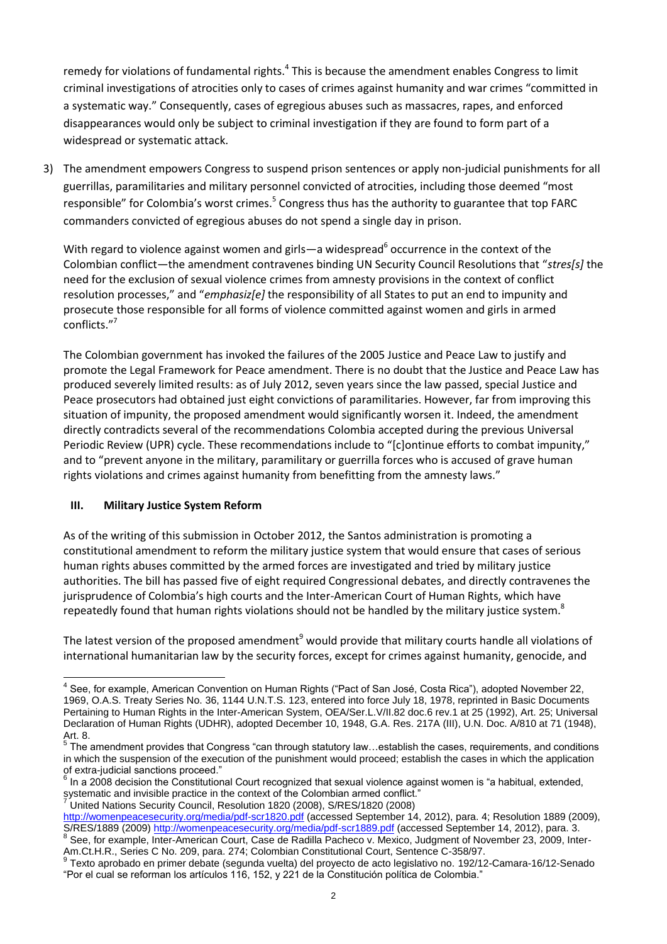remedy for violations of fundamental rights.<sup>4</sup> This is because the amendment enables Congress to limit criminal investigations of atrocities only to cases of crimes against humanity and war crimes "committed in a systematic way." Consequently, cases of egregious abuses such as massacres, rapes, and enforced disappearances would only be subject to criminal investigation if they are found to form part of a widespread or systematic attack.

3) The amendment empowers Congress to suspend prison sentences or apply non-judicial punishments for all guerrillas, paramilitaries and military personnel convicted of atrocities, including those deemed "most responsible" for Colombia's worst crimes.<sup>5</sup> Congress thus has the authority to guarantee that top FARC commanders convicted of egregious abuses do not spend a single day in prison.

With regard to violence against women and girls—a widespread<sup>6</sup> occurrence in the context of the Colombian conflict—the amendment contravenes binding UN Security Council Resolutions that "*stres[s]* the need for the exclusion of sexual violence crimes from amnesty provisions in the context of conflict resolution processes," and "*emphasiz[e]* the responsibility of all States to put an end to impunity and prosecute those responsible for all forms of violence committed against women and girls in armed conflicts."<sup>7</sup>

The Colombian government has invoked the failures of the 2005 Justice and Peace Law to justify and promote the Legal Framework for Peace amendment. There is no doubt that the Justice and Peace Law has produced severely limited results: as of July 2012, seven years since the law passed, special Justice and Peace prosecutors had obtained just eight convictions of paramilitaries. However, far from improving this situation of impunity, the proposed amendment would significantly worsen it. Indeed, the amendment directly contradicts several of the recommendations Colombia accepted during the previous Universal Periodic Review (UPR) cycle. These recommendations include to "[c]ontinue efforts to combat impunity," and to "prevent anyone in the military, paramilitary or guerrilla forces who is accused of grave human rights violations and crimes against humanity from benefitting from the amnesty laws."

### **III. Military Justice System Reform**

As of the writing of this submission in October 2012, the Santos administration is promoting a constitutional amendment to reform the military justice system that would ensure that cases of serious human rights abuses committed by the armed forces are investigated and tried by military justice authorities. The bill has passed five of eight required Congressional debates, and directly contravenes the jurisprudence of Colombia's high courts and the Inter-American Court of Human Rights, which have repeatedly found that human rights violations should not be handled by the military justice system.<sup>8</sup>

The latest version of the proposed amendment<sup>9</sup> would provide that military courts handle all violations of international humanitarian law by the security forces, except for crimes against humanity, genocide, and

<sup>7</sup> United Nations Security Council, Resolution 1820 (2008), S/RES/1820 (2008)

<sup>————————————————————&</sup>lt;br><sup>4</sup> See, for example, American Convention on Human Rights ("Pact of San José, Costa Rica"), adopted November 22, 1969, O.A.S. Treaty Series No. 36, 1144 U.N.T.S. 123, entered into force July 18, 1978, reprinted in Basic Documents Pertaining to Human Rights in the Inter-American System, OEA/Ser.L.V/II.82 doc.6 rev.1 at 25 (1992), Art. 25; Universal Declaration of Human Rights (UDHR), adopted December 10, 1948, G.A. Res. 217A (III), U.N. Doc. A/810 at 71 (1948),

Art. 8.<br><sup>5</sup> The amendment provides that Congress "can through statutory law…establish the cases, requirements, and conditions in which the suspension of the execution of the punishment would proceed; establish the cases in which the application of extra-judicial sanctions proceed." 6

In a 2008 decision the Constitutional Court recognized that sexual violence against women is "a habitual, extended, systematic and invisible practice in the context of the Colombian armed conflict."

<http://womenpeacesecurity.org/media/pdf-scr1820.pdf> (accessed September 14, 2012), para. 4; Resolution 1889 (2009), S/RES/1889 (2009) <u>http://womenpeacesecurity.org/media/pdf-scr1889.pdf</u> (accessed September 14, 2012), para. 3.<br><sup>8</sup> See, for example, Inter-American Court, Case de Radilla Pacheco v. Mexico, Judgment of November 23, 2009,

Am.Ct.H.R., Series C No. 209, para. 274; Colombian Constitutional Court, Sentence C-358/97. 9

Texto aprobado en primer debate (segunda vuelta) del proyecto de acto legislativo no. 192/12-Camara-16/12-Senado "Por el cual se reforman los artículos 116, 152, y 221 de la Constitución política de Colombia."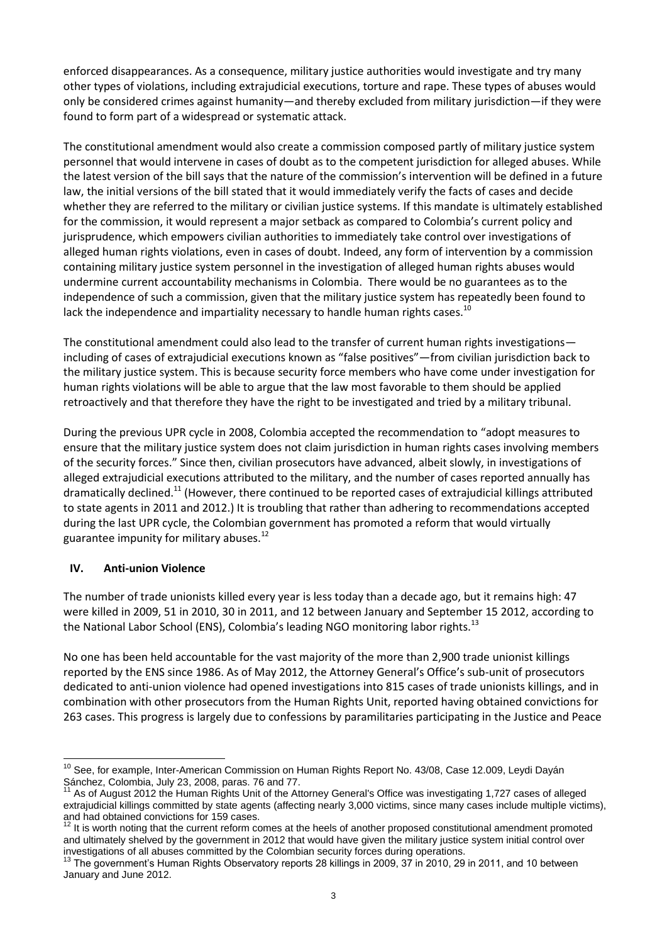enforced disappearances. As a consequence, military justice authorities would investigate and try many other types of violations, including extrajudicial executions, torture and rape. These types of abuses would only be considered crimes against humanity—and thereby excluded from military jurisdiction—if they were found to form part of a widespread or systematic attack.

The constitutional amendment would also create a commission composed partly of military justice system personnel that would intervene in cases of doubt as to the competent jurisdiction for alleged abuses. While the latest version of the bill says that the nature of the commission's intervention will be defined in a future law, the initial versions of the bill stated that it would immediately verify the facts of cases and decide whether they are referred to the military or civilian justice systems. If this mandate is ultimately established for the commission, it would represent a major setback as compared to Colombia's current policy and jurisprudence, which empowers civilian authorities to immediately take control over investigations of alleged human rights violations, even in cases of doubt. Indeed, any form of intervention by a commission containing military justice system personnel in the investigation of alleged human rights abuses would undermine current accountability mechanisms in Colombia. There would be no guarantees as to the independence of such a commission, given that the military justice system has repeatedly been found to lack the independence and impartiality necessary to handle human rights cases.<sup>10</sup>

The constitutional amendment could also lead to the transfer of current human rights investigations including of cases of extrajudicial executions known as "false positives"—from civilian jurisdiction back to the military justice system. This is because security force members who have come under investigation for human rights violations will be able to argue that the law most favorable to them should be applied retroactively and that therefore they have the right to be investigated and tried by a military tribunal.

During the previous UPR cycle in 2008, Colombia accepted the recommendation to "adopt measures to ensure that the military justice system does not claim jurisdiction in human rights cases involving members of the security forces." Since then, civilian prosecutors have advanced, albeit slowly, in investigations of alleged extrajudicial executions attributed to the military, and the number of cases reported annually has dramatically declined.<sup>11</sup> (However, there continued to be reported cases of extrajudicial killings attributed to state agents in 2011 and 2012.) It is troubling that rather than adhering to recommendations accepted during the last UPR cycle, the Colombian government has promoted a reform that would virtually guarantee impunity for military abuses.<sup>12</sup>

### **IV. Anti-union Violence**

The number of trade unionists killed every year is less today than a decade ago, but it remains high: 47 were killed in 2009, 51 in 2010, 30 in 2011, and 12 between January and September 15 2012, according to the National Labor School (ENS), Colombia's leading NGO monitoring labor rights.<sup>13</sup>

No one has been held accountable for the vast majority of the more than 2,900 trade unionist killings reported by the ENS since 1986. As of May 2012, the Attorney General's Office's sub-unit of prosecutors dedicated to anti-union violence had opened investigations into 815 cases of trade unionists killings, and in combination with other prosecutors from the Human Rights Unit, reported having obtained convictions for 263 cases. This progress is largely due to confessions by paramilitaries participating in the Justice and Peace

<sup>-</sup><sup>10</sup> See, for example, Inter-American Commission on Human Rights Report No. 43/08, Case 12.009, Leydi Dayán Sánchez, Colombia, July 23, 2008, paras. 76 and 77.

<sup>11</sup> As of August 2012 the Human Rights Unit of the Attorney General's Office was investigating 1,727 cases of alleged extrajudicial killings committed by state agents (affecting nearly 3,000 victims, since many cases include multiple victims), and had obtained convictions for 159 cases.

 $12$  It is worth noting that the current reform comes at the heels of another proposed constitutional amendment promoted and ultimately shelved by the government in 2012 that would have given the military justice system initial control over investigations of all abuses committed by the Colombian security forces during operations.

<sup>&</sup>lt;sup>13</sup> The government's Human Rights Observatory reports 28 killings in 2009, 37 in 2010, 29 in 2011, and 10 between January and June 2012.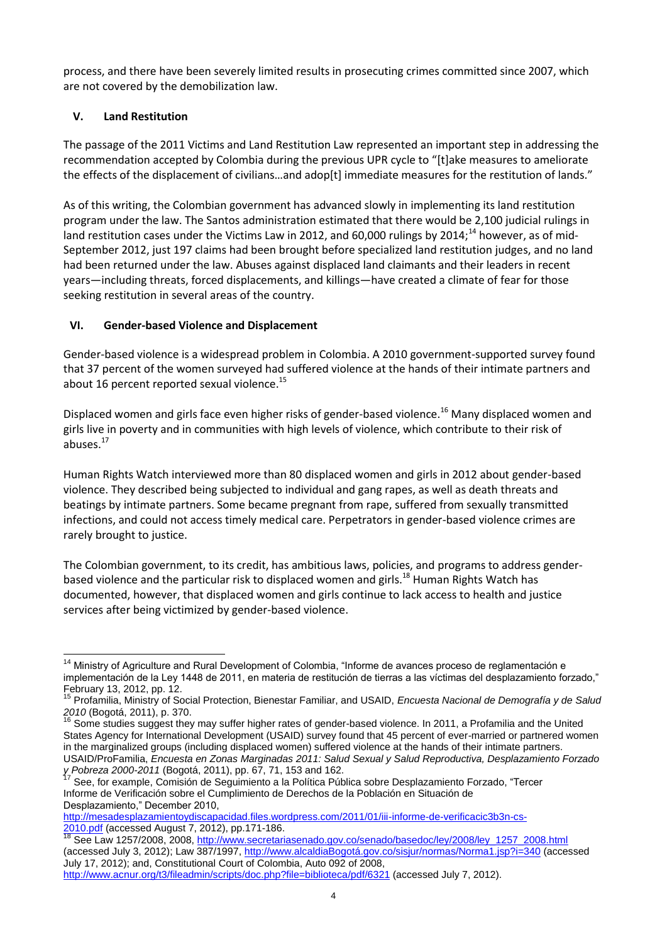process, and there have been severely limited results in prosecuting crimes committed since 2007, which are not covered by the demobilization law.

# **V. Land Restitution**

The passage of the 2011 Victims and Land Restitution Law represented an important step in addressing the recommendation accepted by Colombia during the previous UPR cycle to "[t]ake measures to ameliorate the effects of the displacement of civilians...and adop[t] immediate measures for the restitution of lands."

As of this writing, the Colombian government has advanced slowly in implementing its land restitution program under the law. The Santos administration estimated that there would be 2,100 judicial rulings in land restitution cases under the Victims Law in 2012, and 60,000 rulings by 2014;<sup>14</sup> however, as of mid-September 2012, just 197 claims had been brought before specialized land restitution judges, and no land had been returned under the law. Abuses against displaced land claimants and their leaders in recent years—including threats, forced displacements, and killings—have created a climate of fear for those seeking restitution in several areas of the country.

# **VI. Gender-based Violence and Displacement**

Gender-based violence is a widespread problem in Colombia. A 2010 government-supported survey found that 37 percent of the women surveyed had suffered violence at the hands of their intimate partners and about 16 percent reported sexual violence.<sup>15</sup>

Displaced women and girls face even higher risks of gender-based violence.<sup>16</sup> Many displaced women and girls live in poverty and in communities with high levels of violence, which contribute to their risk of abuses.<sup>17</sup>

Human Rights Watch interviewed more than 80 displaced women and girls in 2012 about gender-based violence. They described being subjected to individual and gang rapes, as well as death threats and beatings by intimate partners. Some became pregnant from rape, suffered from sexually transmitted infections, and could not access timely medical care. Perpetrators in gender-based violence crimes are rarely brought to justice.

The Colombian government, to its credit, has ambitious laws, policies, and programs to address genderbased violence and the particular risk to displaced women and girls.<sup>18</sup> Human Rights Watch has documented, however, that displaced women and girls continue to lack access to health and justice services after being victimized by gender-based violence.

[http://mesadesplazamientoydiscapacidad.files.wordpress.com/2011/01/iii-informe-de-verificacic3b3n-cs-](http://mesadesplazamientoydiscapacidad.files.wordpress.com/2011/01/iii-informe-de-verificacic3b3n-cs-2010.pdf)[2010.pdf](http://mesadesplazamientoydiscapacidad.files.wordpress.com/2011/01/iii-informe-de-verificacic3b3n-cs-2010.pdf) (accessed August 7, 2012), pp.171-186.

<sup>-</sup><sup>14</sup> Ministry of Agriculture and Rural Development of Colombia, "Informe de avances proceso de reglamentación e implementación de la Ley 1448 de 2011, en materia de restitución de tierras a las víctimas del desplazamiento forzado," February 13, 2012, pp. 12.

<sup>15</sup> Profamilia, Ministry of Social Protection, Bienestar Familiar, and USAID, *Encuesta Nacional de Demografía y de Salud 2010* (Bogotá, 2011), p. 370.

<sup>16</sup> Some studies suggest they may suffer higher rates of gender-based violence. In 2011, a Profamilia and the United States Agency for International Development (USAID) survey found that 45 percent of ever-married or partnered women in the marginalized groups (including displaced women) suffered violence at the hands of their intimate partners. USAID/ProFamilia, *Encuesta en Zonas Marginadas 2011: Salud Sexual y Salud Reproductiva, Desplazamiento Forzado y Pobreza 2000-2011* (Bogotá, 2011), pp. 67, 71, 153 and 162.

<sup>17</sup> See, for example, Comisión de Seguimiento a la Política Pública sobre Desplazamiento Forzado, "Tercer Informe de Verificación sobre el Cumplimiento de Derechos de la Población en Situación de Desplazamiento," December 2010,

<sup>&</sup>lt;sup>18</sup> See Law 1257/2008, 2008, [http://www.secretariasenado.gov.co/senado/basedoc/ley/2008/ley\\_1257\\_2008.html](http://www.secretariasenado.gov.co/senado/basedoc/ley/2008/ley_1257_2008.html) (accessed July 3, 2012); Law 387/1997, [http://www.alcaldiaBogotá.gov.co/sisjur/normas/Norma1.jsp?i=340](http://www.alcaldiabogota.gov.co/sisjur/normas/Norma1.jsp?i=340) (accessed July 17, 2012); and, Constitutional Court of Colombia, Auto 092 of 2008,